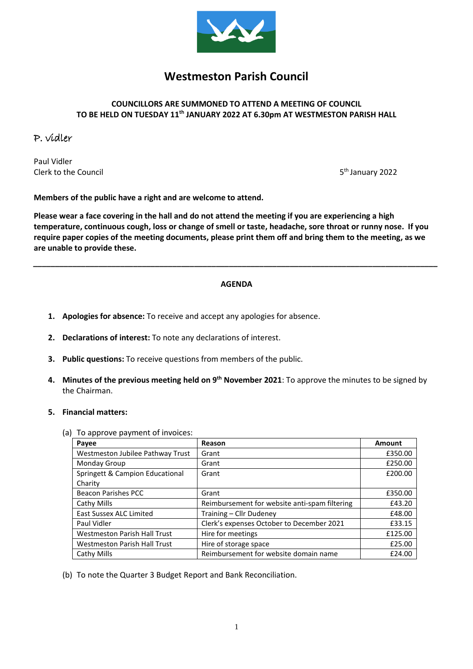

# **Westmeston Parish Council**

### **COUNCILLORS ARE SUMMONED TO ATTEND A MEETING OF COUNCIL TO BE HELD ON TUESDAY 11th JANUARY 2022 AT 6.30pm AT WESTMESTON PARISH HALL**

## P. vidler

Paul Vidler Clerk to the Council 5

5<sup>th</sup> January 2022

**Members of the public have a right and are welcome to attend.**

**Please wear a face covering in the hall and do not attend the meeting if you are experiencing a high temperature, continuous cough, loss or change of smell or taste, headache, sore throat or runny nose. If you require paper copies of the meeting documents, please print them off and bring them to the meeting, as we are unable to provide these.**

## **AGENDA**

*\_\_\_\_\_\_\_\_\_\_\_\_\_\_\_\_\_\_\_\_\_\_\_\_\_\_\_\_\_\_\_\_\_\_\_\_\_\_\_\_\_\_\_\_\_\_\_\_\_\_\_\_\_\_\_\_\_\_\_\_\_\_\_\_\_\_\_\_\_\_\_\_\_\_\_\_\_\_\_\_\_\_\_\_\_\_\_\_\_\_\_\_\_*

- **1. Apologies for absence:** To receive and accept any apologies for absence.
- **2. Declarations of interest:** To note any declarations of interest.
- **3. Public questions:** To receive questions from members of the public.
- **4. Minutes of the previous meeting held on 9 th November 2021**: To approve the minutes to be signed by the Chairman.

#### **5. Financial matters:**

(a) To approve payment of invoices:

| Payee                               | Reason                                        | Amount  |
|-------------------------------------|-----------------------------------------------|---------|
| Westmeston Jubilee Pathway Trust    | Grant                                         | £350.00 |
| <b>Monday Group</b>                 | Grant                                         | £250.00 |
| Springett & Campion Educational     | Grant                                         | £200.00 |
| Charity                             |                                               |         |
| <b>Beacon Parishes PCC</b>          | Grant                                         | £350.00 |
| Cathy Mills                         | Reimbursement for website anti-spam filtering | £43.20  |
| <b>East Sussex ALC Limited</b>      | Training - Cllr Dudeney                       | £48.00  |
| Paul Vidler                         | Clerk's expenses October to December 2021     | £33.15  |
| <b>Westmeston Parish Hall Trust</b> | Hire for meetings                             | £125.00 |
| <b>Westmeston Parish Hall Trust</b> | Hire of storage space                         | £25.00  |
| Cathy Mills                         | Reimbursement for website domain name         | £24.00  |

(b) To note the Quarter 3 Budget Report and Bank Reconciliation.